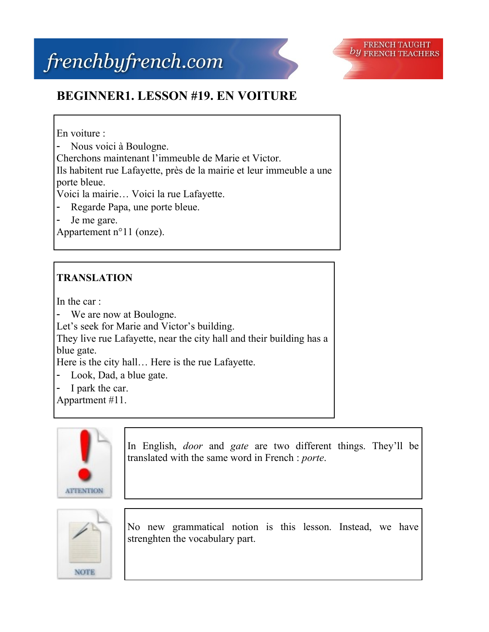

## **BEGINNER1. LESSON #19. EN VOITURE**

En voiture :

- Nous voici à Boulogne.

Cherchons maintenant l'immeuble de Marie et Victor.

Ils habitent rue Lafayette, près de la mairie et leur immeuble a une porte bleue.

Voici la mairie… Voici la rue Lafayette.

- Regarde Papa, une porte bleue.
- Je me gare.

Appartement n°11 (onze).

## **TRANSLATION**

In the car :

- We are now at Boulogne.

Let's seek for Marie and Victor's building.

They live rue Lafayette, near the city hall and their building has a blue gate.

Here is the city hall… Here is the rue Lafayette.

- Look, Dad, a blue gate.
- I park the car.

Appartment #11.



In English, *door* and *gate* are two different things. They'll be translated with the same word in French : *porte*.



No new grammatical notion is this lesson. Instead, we have strenghten the vocabulary part.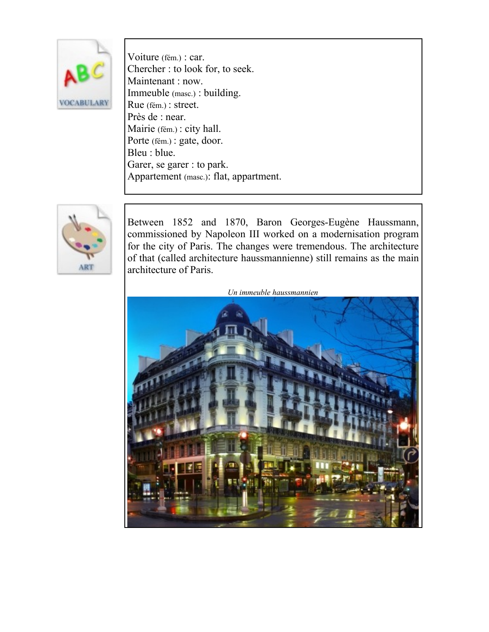

Voiture (fém.) : car. Chercher : to look for, to seek. Maintenant : now. Immeuble (masc.) : building. Rue (fém.) : street. Près de : near. Mairie (fém.) : city hall. Porte (fém.) : gate, door. Bleu : blue. Garer, se garer : to park. Appartement (masc.): flat, appartment.



Between 1852 and 1870, Baron Georges-Eugène Haussmann, commissioned by Napoleon III worked on a modernisation program for the city of Paris. The changes were tremendous. The architecture of that (called architecture haussmannienne) still remains as the main architecture of Paris.